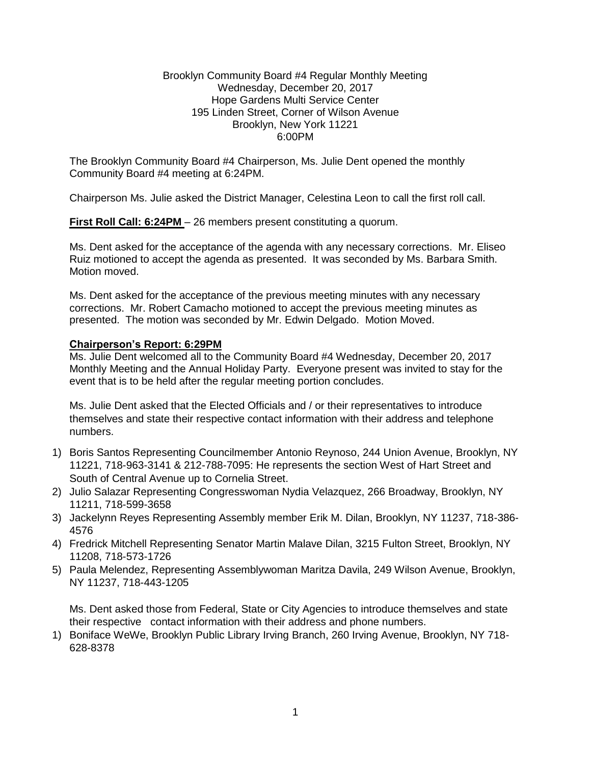### Brooklyn Community Board #4 Regular Monthly Meeting Wednesday, December 20, 2017 Hope Gardens Multi Service Center 195 Linden Street, Corner of Wilson Avenue Brooklyn, New York 11221 6:00PM

The Brooklyn Community Board #4 Chairperson, Ms. Julie Dent opened the monthly Community Board #4 meeting at 6:24PM.

Chairperson Ms. Julie asked the District Manager, Celestina Leon to call the first roll call.

**First Roll Call: 6:24PM** – 26 members present constituting a quorum.

Ms. Dent asked for the acceptance of the agenda with any necessary corrections. Mr. Eliseo Ruiz motioned to accept the agenda as presented. It was seconded by Ms. Barbara Smith. Motion moved.

Ms. Dent asked for the acceptance of the previous meeting minutes with any necessary corrections. Mr. Robert Camacho motioned to accept the previous meeting minutes as presented. The motion was seconded by Mr. Edwin Delgado. Motion Moved.

### **Chairperson's Report: 6:29PM**

Ms. Julie Dent welcomed all to the Community Board #4 Wednesday, December 20, 2017 Monthly Meeting and the Annual Holiday Party. Everyone present was invited to stay for the event that is to be held after the regular meeting portion concludes.

Ms. Julie Dent asked that the Elected Officials and / or their representatives to introduce themselves and state their respective contact information with their address and telephone numbers.

- 1) Boris Santos Representing Councilmember Antonio Reynoso, 244 Union Avenue, Brooklyn, NY 11221, 718-963-3141 & 212-788-7095: He represents the section West of Hart Street and South of Central Avenue up to Cornelia Street.
- 2) Julio Salazar Representing Congresswoman Nydia Velazquez, 266 Broadway, Brooklyn, NY 11211, 718-599-3658
- 3) Jackelynn Reyes Representing Assembly member Erik M. Dilan, Brooklyn, NY 11237, 718-386- 4576
- 4) Fredrick Mitchell Representing Senator Martin Malave Dilan, 3215 Fulton Street, Brooklyn, NY 11208, 718-573-1726
- 5) Paula Melendez, Representing Assemblywoman Maritza Davila, 249 Wilson Avenue, Brooklyn, NY 11237, 718-443-1205

Ms. Dent asked those from Federal, State or City Agencies to introduce themselves and state their respective contact information with their address and phone numbers.

1) Boniface WeWe, Brooklyn Public Library Irving Branch, 260 Irving Avenue, Brooklyn, NY 718- 628-8378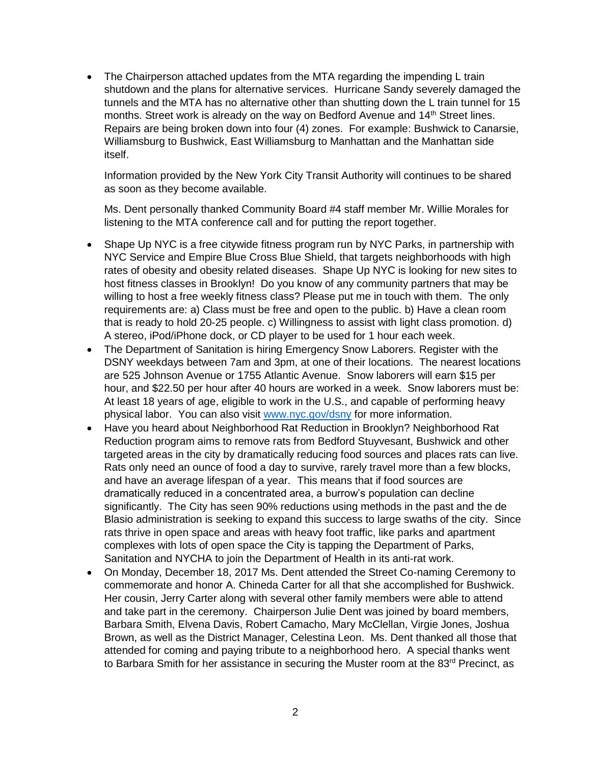• The Chairperson attached updates from the MTA regarding the impending L train shutdown and the plans for alternative services. Hurricane Sandy severely damaged the tunnels and the MTA has no alternative other than shutting down the L train tunnel for 15 months. Street work is already on the way on Bedford Avenue and  $14<sup>th</sup>$  Street lines. Repairs are being broken down into four (4) zones. For example: Bushwick to Canarsie, Williamsburg to Bushwick, East Williamsburg to Manhattan and the Manhattan side itself.

Information provided by the New York City Transit Authority will continues to be shared as soon as they become available.

Ms. Dent personally thanked Community Board #4 staff member Mr. Willie Morales for listening to the MTA conference call and for putting the report together.

- Shape Up NYC is a free citywide fitness program run by NYC Parks, in partnership with NYC Service and Empire Blue Cross Blue Shield, that targets neighborhoods with high rates of obesity and obesity related diseases. Shape Up NYC is looking for new sites to host fitness classes in Brooklyn! Do you know of any community partners that may be willing to host a free weekly fitness class? Please put me in touch with them. The only requirements are: a) Class must be free and open to the public. b) Have a clean room that is ready to hold 20-25 people. c) Willingness to assist with light class promotion. d) A stereo, iPod/iPhone dock, or CD player to be used for 1 hour each week.
- The Department of Sanitation is hiring Emergency Snow Laborers. Register with the DSNY weekdays between 7am and 3pm, at one of their locations. The nearest locations are 525 Johnson Avenue or 1755 Atlantic Avenue. Snow laborers will earn \$15 per hour, and \$22.50 per hour after 40 hours are worked in a week. Snow laborers must be: At least 18 years of age, eligible to work in the U.S., and capable of performing heavy physical labor. You can also visit [www.nyc.gov/dsny](http://www.nyc.gov/dsny) for more information.
- Have you heard about Neighborhood Rat Reduction in Brooklyn? Neighborhood Rat Reduction program aims to remove rats from Bedford Stuyvesant, Bushwick and other targeted areas in the city by dramatically reducing food sources and places rats can live. Rats only need an ounce of food a day to survive, rarely travel more than a few blocks, and have an average lifespan of a year. This means that if food sources are dramatically reduced in a concentrated area, a burrow's population can decline significantly. The City has seen 90% reductions using methods in the past and the de Blasio administration is seeking to expand this success to large swaths of the city. Since rats thrive in open space and areas with heavy foot traffic, like parks and apartment complexes with lots of open space the City is tapping the Department of Parks, Sanitation and NYCHA to join the Department of Health in its anti-rat work.
- On Monday, December 18, 2017 Ms. Dent attended the Street Co-naming Ceremony to commemorate and honor A. Chineda Carter for all that she accomplished for Bushwick. Her cousin, Jerry Carter along with several other family members were able to attend and take part in the ceremony. Chairperson Julie Dent was joined by board members, Barbara Smith, Elvena Davis, Robert Camacho, Mary McClellan, Virgie Jones, Joshua Brown, as well as the District Manager, Celestina Leon. Ms. Dent thanked all those that attended for coming and paying tribute to a neighborhood hero. A special thanks went to Barbara Smith for her assistance in securing the Muster room at the 83<sup>rd</sup> Precinct, as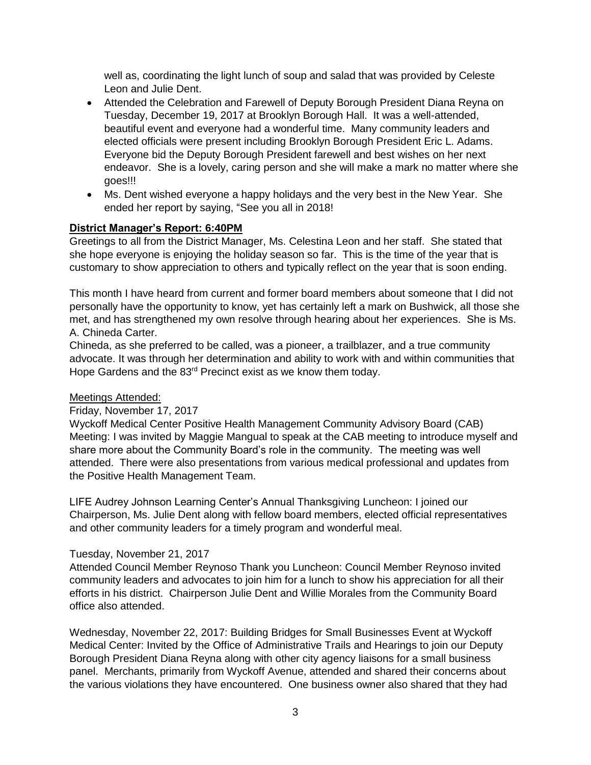well as, coordinating the light lunch of soup and salad that was provided by Celeste Leon and Julie Dent.

- Attended the Celebration and Farewell of Deputy Borough President Diana Reyna on Tuesday, December 19, 2017 at Brooklyn Borough Hall. It was a well-attended, beautiful event and everyone had a wonderful time. Many community leaders and elected officials were present including Brooklyn Borough President Eric L. Adams. Everyone bid the Deputy Borough President farewell and best wishes on her next endeavor. She is a lovely, caring person and she will make a mark no matter where she goes!!!
- Ms. Dent wished everyone a happy holidays and the very best in the New Year. She ended her report by saying, "See you all in 2018!

## **District Manager's Report: 6:40PM**

Greetings to all from the District Manager, Ms. Celestina Leon and her staff. She stated that she hope everyone is enjoying the holiday season so far. This is the time of the year that is customary to show appreciation to others and typically reflect on the year that is soon ending.

This month I have heard from current and former board members about someone that I did not personally have the opportunity to know, yet has certainly left a mark on Bushwick, all those she met, and has strengthened my own resolve through hearing about her experiences. She is Ms. A. Chineda Carter.

Chineda, as she preferred to be called, was a pioneer, a trailblazer, and a true community advocate. It was through her determination and ability to work with and within communities that Hope Gardens and the 83<sup>rd</sup> Precinct exist as we know them today.

## Meetings Attended:

## Friday, November 17, 2017

Wyckoff Medical Center Positive Health Management Community Advisory Board (CAB) Meeting: I was invited by Maggie Mangual to speak at the CAB meeting to introduce myself and share more about the Community Board's role in the community. The meeting was well attended. There were also presentations from various medical professional and updates from the Positive Health Management Team.

LIFE Audrey Johnson Learning Center's Annual Thanksgiving Luncheon: I joined our Chairperson, Ms. Julie Dent along with fellow board members, elected official representatives and other community leaders for a timely program and wonderful meal.

## Tuesday, November 21, 2017

Attended Council Member Reynoso Thank you Luncheon: Council Member Reynoso invited community leaders and advocates to join him for a lunch to show his appreciation for all their efforts in his district. Chairperson Julie Dent and Willie Morales from the Community Board office also attended.

Wednesday, November 22, 2017: Building Bridges for Small Businesses Event at Wyckoff Medical Center: Invited by the Office of Administrative Trails and Hearings to join our Deputy Borough President Diana Reyna along with other city agency liaisons for a small business panel. Merchants, primarily from Wyckoff Avenue, attended and shared their concerns about the various violations they have encountered. One business owner also shared that they had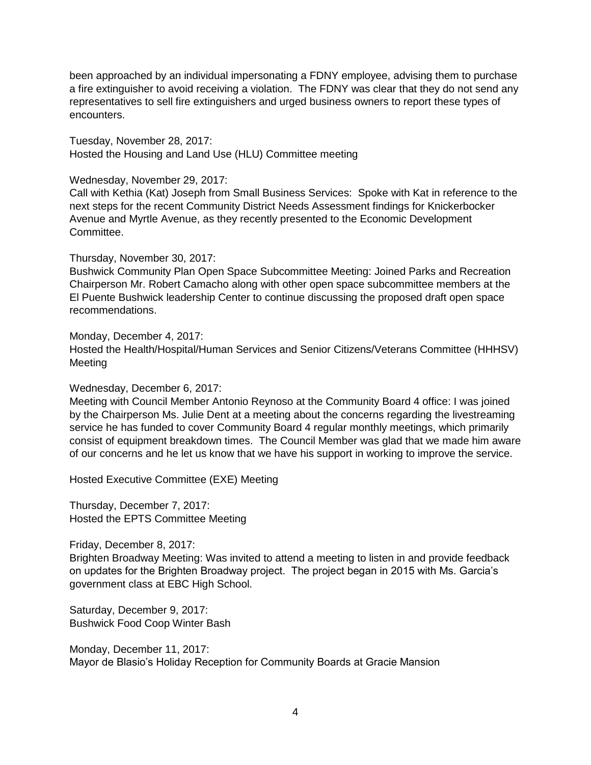been approached by an individual impersonating a FDNY employee, advising them to purchase a fire extinguisher to avoid receiving a violation. The FDNY was clear that they do not send any representatives to sell fire extinguishers and urged business owners to report these types of encounters.

Tuesday, November 28, 2017: Hosted the Housing and Land Use (HLU) Committee meeting

Wednesday, November 29, 2017:

Call with Kethia (Kat) Joseph from Small Business Services: Spoke with Kat in reference to the next steps for the recent Community District Needs Assessment findings for Knickerbocker Avenue and Myrtle Avenue, as they recently presented to the Economic Development Committee.

Thursday, November 30, 2017:

Bushwick Community Plan Open Space Subcommittee Meeting: Joined Parks and Recreation Chairperson Mr. Robert Camacho along with other open space subcommittee members at the El Puente Bushwick leadership Center to continue discussing the proposed draft open space recommendations.

Monday, December 4, 2017: Hosted the Health/Hospital/Human Services and Senior Citizens/Veterans Committee (HHHSV) Meeting

Wednesday, December 6, 2017:

Meeting with Council Member Antonio Reynoso at the Community Board 4 office: I was joined by the Chairperson Ms. Julie Dent at a meeting about the concerns regarding the livestreaming service he has funded to cover Community Board 4 regular monthly meetings, which primarily consist of equipment breakdown times. The Council Member was glad that we made him aware of our concerns and he let us know that we have his support in working to improve the service.

Hosted Executive Committee (EXE) Meeting

Thursday, December 7, 2017: Hosted the EPTS Committee Meeting

Friday, December 8, 2017:

Brighten Broadway Meeting: Was invited to attend a meeting to listen in and provide feedback on updates for the Brighten Broadway project. The project began in 2015 with Ms. Garcia's government class at EBC High School.

Saturday, December 9, 2017: Bushwick Food Coop Winter Bash

Monday, December 11, 2017: Mayor de Blasio's Holiday Reception for Community Boards at Gracie Mansion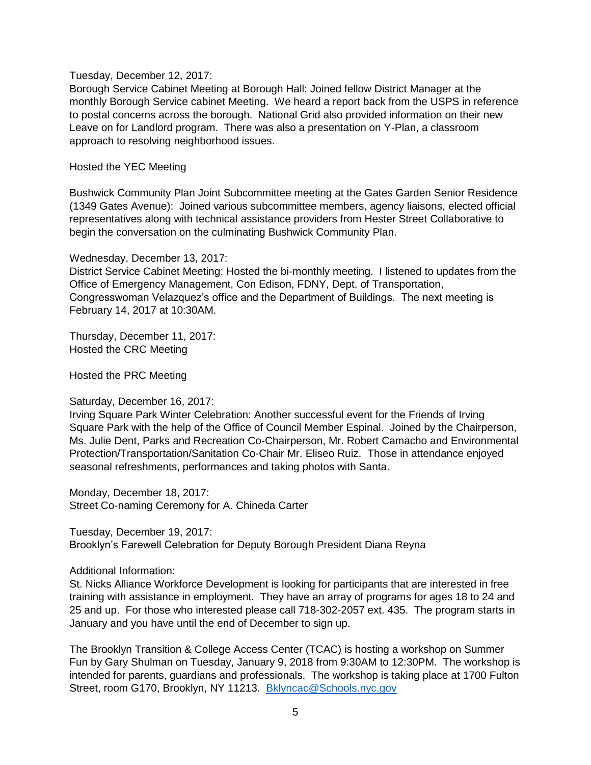### Tuesday, December 12, 2017:

Borough Service Cabinet Meeting at Borough Hall: Joined fellow District Manager at the monthly Borough Service cabinet Meeting. We heard a report back from the USPS in reference to postal concerns across the borough. National Grid also provided information on their new Leave on for Landlord program. There was also a presentation on Y-Plan, a classroom approach to resolving neighborhood issues.

#### Hosted the YEC Meeting

Bushwick Community Plan Joint Subcommittee meeting at the Gates Garden Senior Residence (1349 Gates Avenue): Joined various subcommittee members, agency liaisons, elected official representatives along with technical assistance providers from Hester Street Collaborative to begin the conversation on the culminating Bushwick Community Plan.

Wednesday, December 13, 2017:

District Service Cabinet Meeting: Hosted the bi-monthly meeting. I listened to updates from the Office of Emergency Management, Con Edison, FDNY, Dept. of Transportation, Congresswoman Velazquez's office and the Department of Buildings. The next meeting is February 14, 2017 at 10:30AM.

Thursday, December 11, 2017: Hosted the CRC Meeting

Hosted the PRC Meeting

### Saturday, December 16, 2017:

Irving Square Park Winter Celebration: Another successful event for the Friends of Irving Square Park with the help of the Office of Council Member Espinal. Joined by the Chairperson, Ms. Julie Dent, Parks and Recreation Co-Chairperson, Mr. Robert Camacho and Environmental Protection/Transportation/Sanitation Co-Chair Mr. Eliseo Ruiz. Those in attendance enjoyed seasonal refreshments, performances and taking photos with Santa.

Monday, December 18, 2017: Street Co-naming Ceremony for A. Chineda Carter

Tuesday, December 19, 2017: Brooklyn's Farewell Celebration for Deputy Borough President Diana Reyna

Additional Information:

St. Nicks Alliance Workforce Development is looking for participants that are interested in free training with assistance in employment. They have an array of programs for ages 18 to 24 and 25 and up. For those who interested please call 718-302-2057 ext. 435. The program starts in January and you have until the end of December to sign up.

The Brooklyn Transition & College Access Center (TCAC) is hosting a workshop on Summer Fun by Gary Shulman on Tuesday, January 9, 2018 from 9:30AM to 12:30PM. The workshop is intended for parents, guardians and professionals. The workshop is taking place at 1700 Fulton Street, room G170, Brooklyn, NY 11213. [Bklyncac@Schools.nyc.gov](mailto:Bklyncac@Schools.nyc.gov)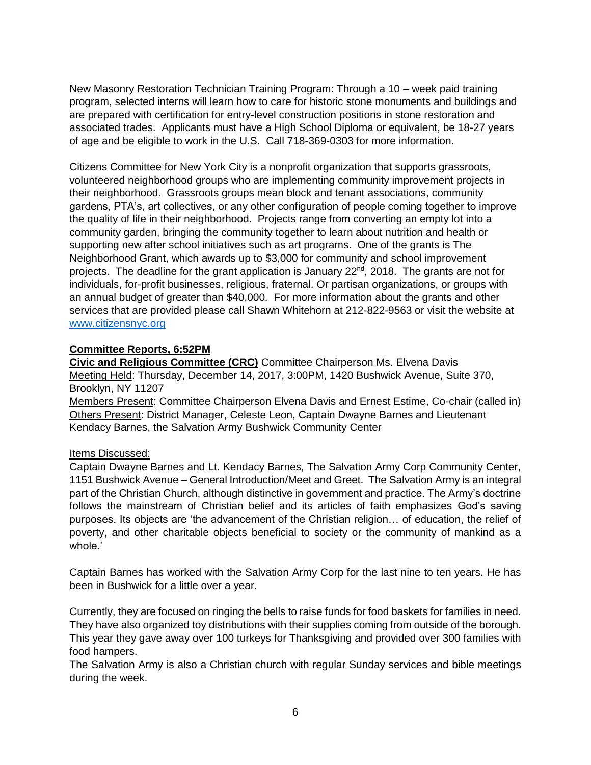New Masonry Restoration Technician Training Program: Through a 10 – week paid training program, selected interns will learn how to care for historic stone monuments and buildings and are prepared with certification for entry-level construction positions in stone restoration and associated trades. Applicants must have a High School Diploma or equivalent, be 18-27 years of age and be eligible to work in the U.S. Call 718-369-0303 for more information.

Citizens Committee for New York City is a nonprofit organization that supports grassroots, volunteered neighborhood groups who are implementing community improvement projects in their neighborhood. Grassroots groups mean block and tenant associations, community gardens, PTA's, art collectives, or any other configuration of people coming together to improve the quality of life in their neighborhood. Projects range from converting an empty lot into a community garden, bringing the community together to learn about nutrition and health or supporting new after school initiatives such as art programs. One of the grants is The Neighborhood Grant, which awards up to \$3,000 for community and school improvement projects. The deadline for the grant application is January 22<sup>nd</sup>, 2018. The grants are not for individuals, for-profit businesses, religious, fraternal. Or partisan organizations, or groups with an annual budget of greater than \$40,000. For more information about the grants and other services that are provided please call Shawn Whitehorn at 212-822-9563 or visit the website at [www.citizensnyc.org](http://www.citizensnyc.org/) 

## **Committee Reports, 6:52PM**

**Civic and Religious Committee (CRC)** Committee Chairperson Ms. Elvena Davis Meeting Held: Thursday, December 14, 2017, 3:00PM, 1420 Bushwick Avenue, Suite 370, Brooklyn, NY 11207

Members Present: Committee Chairperson Elvena Davis and Ernest Estime, Co-chair (called in) Others Present: District Manager, Celeste Leon, Captain Dwayne Barnes and Lieutenant Kendacy Barnes, the Salvation Army Bushwick Community Center

### Items Discussed:

Captain Dwayne Barnes and Lt. Kendacy Barnes, The Salvation Army Corp Community Center, 1151 Bushwick Avenue – General Introduction/Meet and Greet. The Salvation Army is an integral part of the Christian Church, although distinctive in government and practice. The Army's doctrine follows the mainstream of Christian belief and its articles of faith emphasizes God's saving purposes. Its objects are 'the advancement of the Christian religion… of education, the relief of poverty, and other charitable objects beneficial to society or the community of mankind as a whole.'

Captain Barnes has worked with the Salvation Army Corp for the last nine to ten years. He has been in Bushwick for a little over a year.

Currently, they are focused on ringing the bells to raise funds for food baskets for families in need. They have also organized toy distributions with their supplies coming from outside of the borough. This year they gave away over 100 turkeys for Thanksgiving and provided over 300 families with food hampers.

The Salvation Army is also a Christian church with regular Sunday services and bible meetings during the week.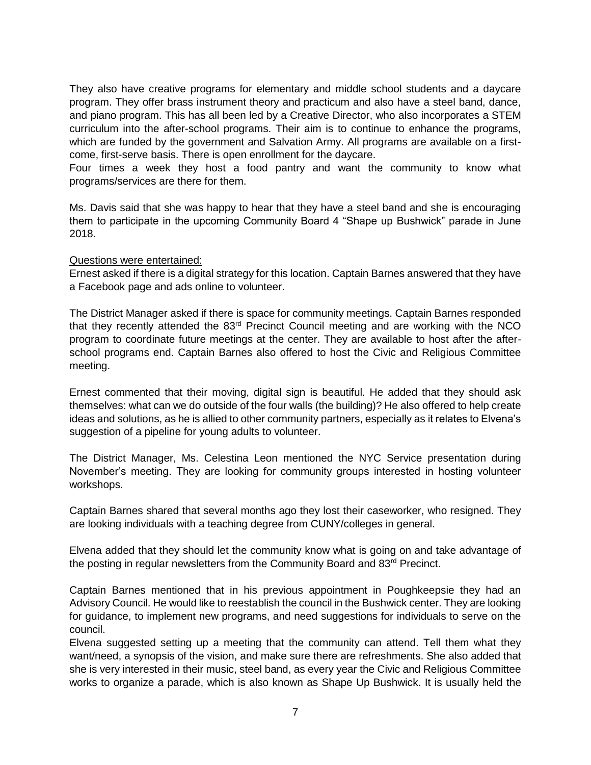They also have creative programs for elementary and middle school students and a daycare program. They offer brass instrument theory and practicum and also have a steel band, dance, and piano program. This has all been led by a Creative Director, who also incorporates a STEM curriculum into the after-school programs. Their aim is to continue to enhance the programs, which are funded by the government and Salvation Army. All programs are available on a firstcome, first-serve basis. There is open enrollment for the daycare.

Four times a week they host a food pantry and want the community to know what programs/services are there for them.

Ms. Davis said that she was happy to hear that they have a steel band and she is encouraging them to participate in the upcoming Community Board 4 "Shape up Bushwick" parade in June 2018.

Questions were entertained:

Ernest asked if there is a digital strategy for this location. Captain Barnes answered that they have a Facebook page and ads online to volunteer.

The District Manager asked if there is space for community meetings. Captain Barnes responded that they recently attended the 83<sup>rd</sup> Precinct Council meeting and are working with the NCO program to coordinate future meetings at the center. They are available to host after the afterschool programs end. Captain Barnes also offered to host the Civic and Religious Committee meeting.

Ernest commented that their moving, digital sign is beautiful. He added that they should ask themselves: what can we do outside of the four walls (the building)? He also offered to help create ideas and solutions, as he is allied to other community partners, especially as it relates to Elvena's suggestion of a pipeline for young adults to volunteer.

The District Manager, Ms. Celestina Leon mentioned the NYC Service presentation during November's meeting. They are looking for community groups interested in hosting volunteer workshops.

Captain Barnes shared that several months ago they lost their caseworker, who resigned. They are looking individuals with a teaching degree from CUNY/colleges in general.

Elvena added that they should let the community know what is going on and take advantage of the posting in regular newsletters from the Community Board and 83<sup>rd</sup> Precinct.

Captain Barnes mentioned that in his previous appointment in Poughkeepsie they had an Advisory Council. He would like to reestablish the council in the Bushwick center. They are looking for guidance, to implement new programs, and need suggestions for individuals to serve on the council.

Elvena suggested setting up a meeting that the community can attend. Tell them what they want/need, a synopsis of the vision, and make sure there are refreshments. She also added that she is very interested in their music, steel band, as every year the Civic and Religious Committee works to organize a parade, which is also known as Shape Up Bushwick. It is usually held the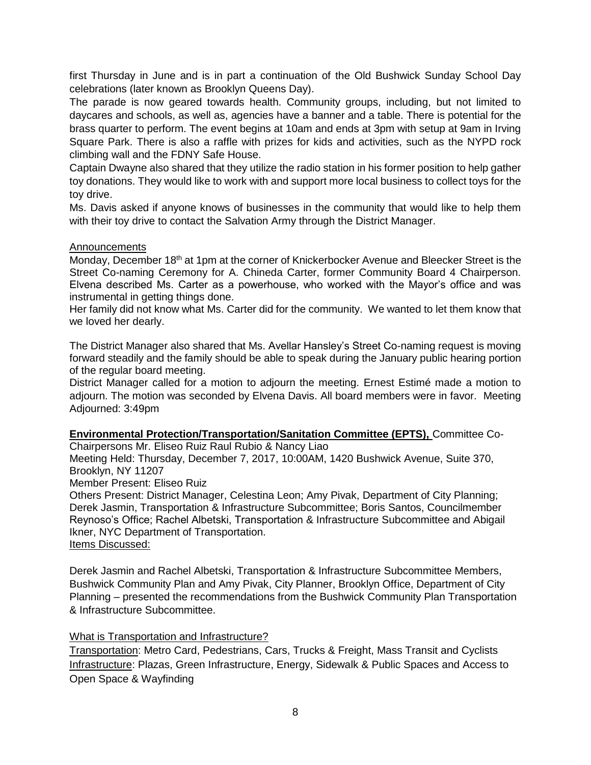first Thursday in June and is in part a continuation of the Old Bushwick Sunday School Day celebrations (later known as Brooklyn Queens Day).

The parade is now geared towards health. Community groups, including, but not limited to daycares and schools, as well as, agencies have a banner and a table. There is potential for the brass quarter to perform. The event begins at 10am and ends at 3pm with setup at 9am in Irving Square Park. There is also a raffle with prizes for kids and activities, such as the NYPD rock climbing wall and the FDNY Safe House.

Captain Dwayne also shared that they utilize the radio station in his former position to help gather toy donations. They would like to work with and support more local business to collect toys for the toy drive.

Ms. Davis asked if anyone knows of businesses in the community that would like to help them with their toy drive to contact the Salvation Army through the District Manager.

### Announcements

Monday, December 18<sup>th</sup> at 1pm at the corner of Knickerbocker Avenue and Bleecker Street is the Street Co-naming Ceremony for A. Chineda Carter, former Community Board 4 Chairperson. Elvena described Ms. Carter as a powerhouse, who worked with the Mayor's office and was instrumental in getting things done.

Her family did not know what Ms. Carter did for the community. We wanted to let them know that we loved her dearly.

The District Manager also shared that Ms. Avellar Hansley's Street Co-naming request is moving forward steadily and the family should be able to speak during the January public hearing portion of the regular board meeting.

District Manager called for a motion to adjourn the meeting. Ernest Estimé made a motion to adjourn. The motion was seconded by Elvena Davis. All board members were in favor. Meeting Adjourned: 3:49pm

**Environmental Protection/Transportation/Sanitation Committee (EPTS),** Committee Co-

Chairpersons Mr. Eliseo Ruiz Raul Rubio & Nancy Liao

Meeting Held: Thursday, December 7, 2017, 10:00AM, 1420 Bushwick Avenue, Suite 370, Brooklyn, NY 11207

Member Present: Eliseo Ruiz

Others Present: District Manager, Celestina Leon; Amy Pivak, Department of City Planning; Derek Jasmin, Transportation & Infrastructure Subcommittee; Boris Santos, Councilmember Reynoso's Office; Rachel Albetski, Transportation & Infrastructure Subcommittee and Abigail Ikner, NYC Department of Transportation. Items Discussed:

Derek Jasmin and Rachel Albetski, Transportation & Infrastructure Subcommittee Members, Bushwick Community Plan and Amy Pivak, City Planner, Brooklyn Office, Department of City Planning – presented the recommendations from the Bushwick Community Plan Transportation & Infrastructure Subcommittee.

## What is Transportation and Infrastructure?

Transportation: Metro Card, Pedestrians, Cars, Trucks & Freight, Mass Transit and Cyclists Infrastructure: Plazas, Green Infrastructure, Energy, Sidewalk & Public Spaces and Access to Open Space & Wayfinding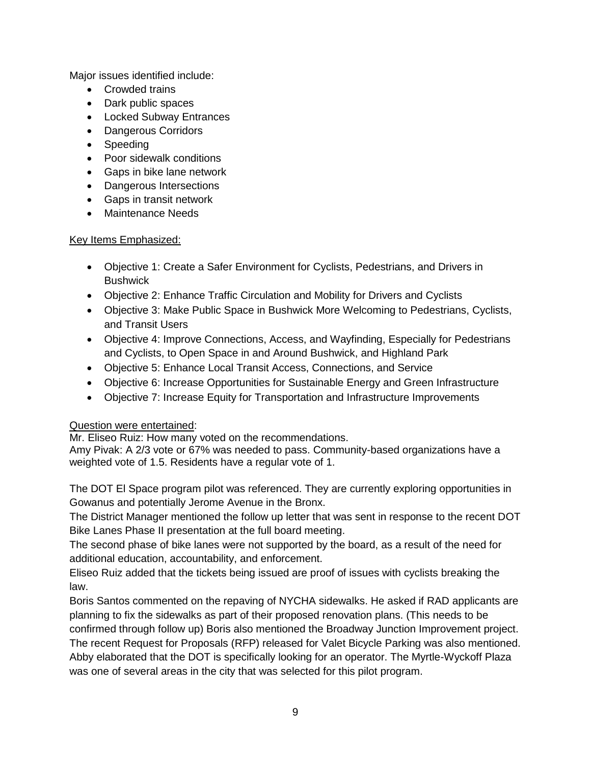Major issues identified include:

- Crowded trains
- Dark public spaces
- Locked Subway Entrances
- Dangerous Corridors
- Speeding
- Poor sidewalk conditions
- Gaps in bike lane network
- Dangerous Intersections
- Gaps in transit network
- Maintenance Needs

## Key Items Emphasized:

- Objective 1: Create a Safer Environment for Cyclists, Pedestrians, and Drivers in **Bushwick**
- Objective 2: Enhance Traffic Circulation and Mobility for Drivers and Cyclists
- Objective 3: Make Public Space in Bushwick More Welcoming to Pedestrians, Cyclists, and Transit Users
- Objective 4: Improve Connections, Access, and Wayfinding, Especially for Pedestrians and Cyclists, to Open Space in and Around Bushwick, and Highland Park
- Objective 5: Enhance Local Transit Access, Connections, and Service
- Objective 6: Increase Opportunities for Sustainable Energy and Green Infrastructure
- Objective 7: Increase Equity for Transportation and Infrastructure Improvements

# Question were entertained:

Mr. Eliseo Ruiz: How many voted on the recommendations.

Amy Pivak: A 2/3 vote or 67% was needed to pass. Community-based organizations have a weighted vote of 1.5. Residents have a regular vote of 1.

The DOT El Space program pilot was referenced. They are currently exploring opportunities in Gowanus and potentially Jerome Avenue in the Bronx.

The District Manager mentioned the follow up letter that was sent in response to the recent DOT Bike Lanes Phase II presentation at the full board meeting.

The second phase of bike lanes were not supported by the board, as a result of the need for additional education, accountability, and enforcement.

Eliseo Ruiz added that the tickets being issued are proof of issues with cyclists breaking the law.

Boris Santos commented on the repaving of NYCHA sidewalks. He asked if RAD applicants are planning to fix the sidewalks as part of their proposed renovation plans. (This needs to be confirmed through follow up) Boris also mentioned the Broadway Junction Improvement project. The recent Request for Proposals (RFP) released for Valet Bicycle Parking was also mentioned.

Abby elaborated that the DOT is specifically looking for an operator. The Myrtle-Wyckoff Plaza was one of several areas in the city that was selected for this pilot program.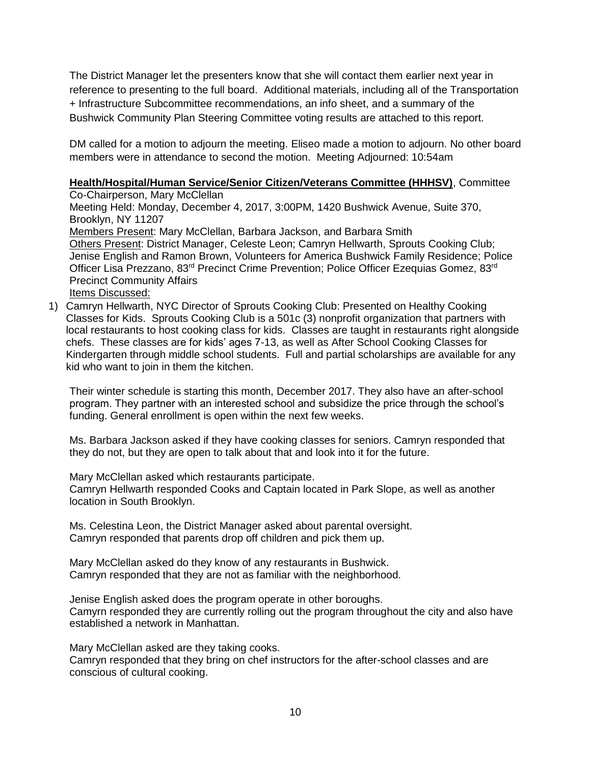The District Manager let the presenters know that she will contact them earlier next year in reference to presenting to the full board. Additional materials, including all of the Transportation + Infrastructure Subcommittee recommendations, an info sheet, and a summary of the Bushwick Community Plan Steering Committee voting results are attached to this report.

DM called for a motion to adjourn the meeting. Eliseo made a motion to adjourn. No other board members were in attendance to second the motion. Meeting Adjourned: 10:54am

# **Health/Hospital/Human Service/Senior Citizen/Veterans Committee (HHHSV)**, Committee

Co-Chairperson, Mary McClellan Meeting Held: Monday, December 4, 2017, 3:00PM, 1420 Bushwick Avenue, Suite 370, Brooklyn, NY 11207 Members Present: Mary McClellan, Barbara Jackson, and Barbara Smith Others Present: District Manager, Celeste Leon; Camryn Hellwarth, Sprouts Cooking Club; Jenise English and Ramon Brown, Volunteers for America Bushwick Family Residence; Police Officer Lisa Prezzano, 83<sup>rd</sup> Precinct Crime Prevention; Police Officer Ezequias Gomez, 83<sup>rd</sup> Precinct Community Affairs Items Discussed:

1) Camryn Hellwarth, NYC Director of Sprouts Cooking Club: Presented on Healthy Cooking Classes for Kids. Sprouts Cooking Club is a 501c (3) nonprofit organization that partners with local restaurants to host cooking class for kids. Classes are taught in restaurants right alongside chefs. These classes are for kids' ages 7-13, as well as After School Cooking Classes for Kindergarten through middle school students. Full and partial scholarships are available for any kid who want to join in them the kitchen.

Their winter schedule is starting this month, December 2017. They also have an after-school program. They partner with an interested school and subsidize the price through the school's funding. General enrollment is open within the next few weeks.

Ms. Barbara Jackson asked if they have cooking classes for seniors. Camryn responded that they do not, but they are open to talk about that and look into it for the future.

Mary McClellan asked which restaurants participate.

Camryn Hellwarth responded Cooks and Captain located in Park Slope, as well as another location in South Brooklyn.

Ms. Celestina Leon, the District Manager asked about parental oversight. Camryn responded that parents drop off children and pick them up.

Mary McClellan asked do they know of any restaurants in Bushwick. Camryn responded that they are not as familiar with the neighborhood.

Jenise English asked does the program operate in other boroughs. Camyrn responded they are currently rolling out the program throughout the city and also have established a network in Manhattan.

Mary McClellan asked are they taking cooks.

Camryn responded that they bring on chef instructors for the after-school classes and are conscious of cultural cooking.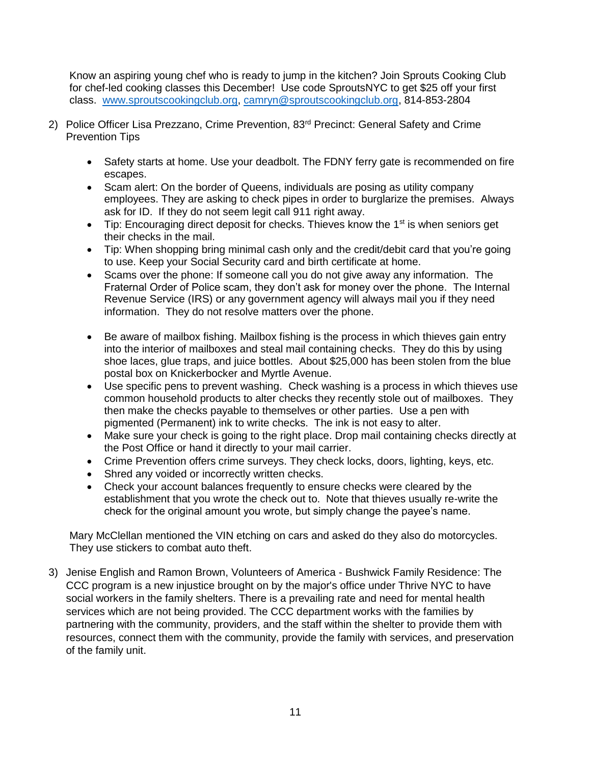Know an aspiring young chef who is ready to jump in the kitchen? Join Sprouts Cooking Club for chef-led cooking classes this December! Use code SproutsNYC to get \$25 off your first class. [www.sproutscookingclub.org,](http://www.sproutscookingclub.org/) [camryn@sproutscookingclub.org,](mailto:camryn@sproutscookingclub.org) 814-853-2804

- 2) Police Officer Lisa Prezzano, Crime Prevention, 83<sup>rd</sup> Precinct: General Safety and Crime Prevention Tips
	- Safety starts at home. Use your deadbolt. The FDNY ferry gate is recommended on fire escapes.
	- Scam alert: On the border of Queens, individuals are posing as utility company employees. They are asking to check pipes in order to burglarize the premises. Always ask for ID. If they do not seem legit call 911 right away.
	- $\bullet$  Tip: Encouraging direct deposit for checks. Thieves know the 1<sup>st</sup> is when seniors get their checks in the mail.
	- Tip: When shopping bring minimal cash only and the credit/debit card that you're going to use. Keep your Social Security card and birth certificate at home.
	- Scams over the phone: If someone call you do not give away any information. The Fraternal Order of Police scam, they don't ask for money over the phone. The Internal Revenue Service (IRS) or any government agency will always mail you if they need information. They do not resolve matters over the phone.
	- Be aware of mailbox fishing. Mailbox fishing is the process in which thieves gain entry into the interior of mailboxes and steal mail containing checks. They do this by using shoe laces, glue traps, and juice bottles. About \$25,000 has been stolen from the blue postal box on Knickerbocker and Myrtle Avenue.
	- Use specific pens to prevent washing. Check washing is a process in which thieves use common household products to alter checks they recently stole out of mailboxes. They then make the checks payable to themselves or other parties. Use a pen with pigmented (Permanent) ink to write checks. The ink is not easy to alter.
	- Make sure your check is going to the right place. Drop mail containing checks directly at the Post Office or hand it directly to your mail carrier.
	- Crime Prevention offers crime surveys. They check locks, doors, lighting, keys, etc.
	- Shred any voided or incorrectly written checks.
	- Check your account balances frequently to ensure checks were cleared by the establishment that you wrote the check out to. Note that thieves usually re-write the check for the original amount you wrote, but simply change the payee's name.

Mary McClellan mentioned the VIN etching on cars and asked do they also do motorcycles. They use stickers to combat auto theft.

3) Jenise English and Ramon Brown, Volunteers of America - Bushwick Family Residence: The CCC program is a new injustice brought on by the major's office under Thrive NYC to have social workers in the family shelters. There is a prevailing rate and need for mental health services which are not being provided. The CCC department works with the families by partnering with the community, providers, and the staff within the shelter to provide them with resources, connect them with the community, provide the family with services, and preservation of the family unit.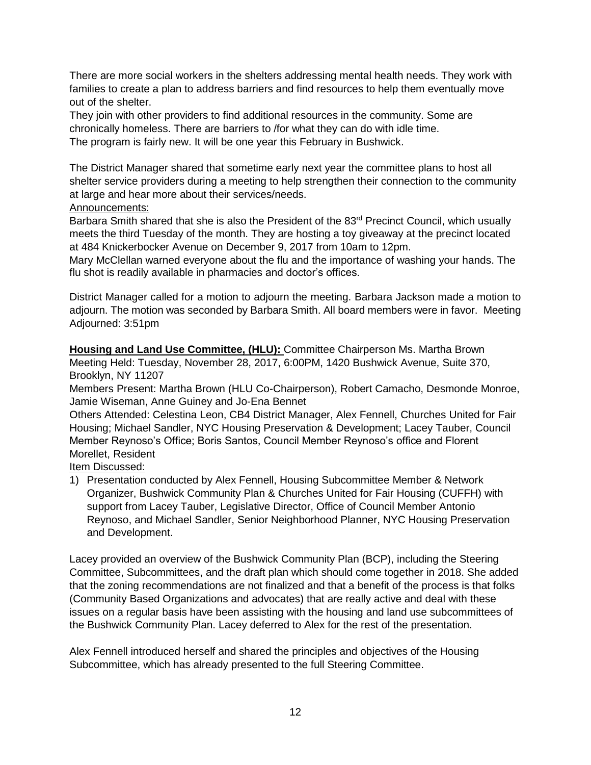There are more social workers in the shelters addressing mental health needs. They work with families to create a plan to address barriers and find resources to help them eventually move out of the shelter.

They join with other providers to find additional resources in the community. Some are chronically homeless. There are barriers to /for what they can do with idle time. The program is fairly new. It will be one year this February in Bushwick.

The District Manager shared that sometime early next year the committee plans to host all shelter service providers during a meeting to help strengthen their connection to the community at large and hear more about their services/needs.

## Announcements:

Barbara Smith shared that she is also the President of the  $83<sup>rd</sup>$  Precinct Council, which usually meets the third Tuesday of the month. They are hosting a toy giveaway at the precinct located at 484 Knickerbocker Avenue on December 9, 2017 from 10am to 12pm.

Mary McClellan warned everyone about the flu and the importance of washing your hands. The flu shot is readily available in pharmacies and doctor's offices.

District Manager called for a motion to adjourn the meeting. Barbara Jackson made a motion to adjourn. The motion was seconded by Barbara Smith. All board members were in favor. Meeting Adjourned: 3:51pm

**Housing and Land Use Committee, (HLU):** Committee Chairperson Ms. Martha Brown Meeting Held: Tuesday, November 28, 2017, 6:00PM, 1420 Bushwick Avenue, Suite 370, Brooklyn, NY 11207

Members Present: Martha Brown (HLU Co-Chairperson), Robert Camacho, Desmonde Monroe, Jamie Wiseman, Anne Guiney and Jo-Ena Bennet

Others Attended: Celestina Leon, CB4 District Manager, Alex Fennell, Churches United for Fair Housing; Michael Sandler, NYC Housing Preservation & Development; Lacey Tauber, Council Member Reynoso's Office; Boris Santos, Council Member Reynoso's office and Florent Morellet, Resident

Item Discussed:

1) Presentation conducted by Alex Fennell, Housing Subcommittee Member & Network Organizer, Bushwick Community Plan & Churches United for Fair Housing (CUFFH) with support from Lacey Tauber, Legislative Director, Office of Council Member Antonio Reynoso, and Michael Sandler, Senior Neighborhood Planner, NYC Housing Preservation and Development.

Lacey provided an overview of the Bushwick Community Plan (BCP), including the Steering Committee, Subcommittees, and the draft plan which should come together in 2018. She added that the zoning recommendations are not finalized and that a benefit of the process is that folks (Community Based Organizations and advocates) that are really active and deal with these issues on a regular basis have been assisting with the housing and land use subcommittees of the Bushwick Community Plan. Lacey deferred to Alex for the rest of the presentation.

Alex Fennell introduced herself and shared the principles and objectives of the Housing Subcommittee, which has already presented to the full Steering Committee.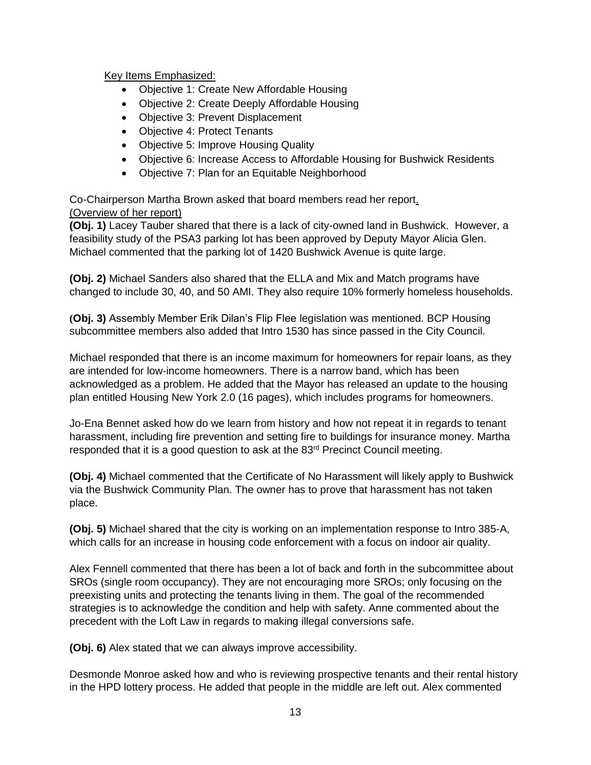Key Items Emphasized:

- Objective 1: Create New Affordable Housing
- Objective 2: Create Deeply Affordable Housing
- Objective 3: Prevent Displacement
- Objective 4: Protect Tenants
- Objective 5: Improve Housing Quality
- Objective 6: Increase Access to Affordable Housing for Bushwick Residents
- Objective 7: Plan for an Equitable Neighborhood

Co-Chairperson Martha Brown asked that board members read her report. (Overview of her report)

**(Obj. 1)** Lacey Tauber shared that there is a lack of city-owned land in Bushwick. However, a feasibility study of the PSA3 parking lot has been approved by Deputy Mayor Alicia Glen. Michael commented that the parking lot of 1420 Bushwick Avenue is quite large.

**(Obj. 2)** Michael Sanders also shared that the ELLA and Mix and Match programs have changed to include 30, 40, and 50 AMI. They also require 10% formerly homeless households.

**(Obj. 3)** Assembly Member Erik Dilan's Flip Flee legislation was mentioned. BCP Housing subcommittee members also added that Intro 1530 has since passed in the City Council.

Michael responded that there is an income maximum for homeowners for repair loans, as they are intended for low-income homeowners. There is a narrow band, which has been acknowledged as a problem. He added that the Mayor has released an update to the housing plan entitled Housing New York 2.0 (16 pages), which includes programs for homeowners.

Jo-Ena Bennet asked how do we learn from history and how not repeat it in regards to tenant harassment, including fire prevention and setting fire to buildings for insurance money. Martha responded that it is a good question to ask at the 83<sup>rd</sup> Precinct Council meeting.

**(Obj. 4)** Michael commented that the Certificate of No Harassment will likely apply to Bushwick via the Bushwick Community Plan. The owner has to prove that harassment has not taken place.

**(Obj. 5)** Michael shared that the city is working on an implementation response to Intro 385-A, which calls for an increase in housing code enforcement with a focus on indoor air quality.

Alex Fennell commented that there has been a lot of back and forth in the subcommittee about SROs (single room occupancy). They are not encouraging more SROs; only focusing on the preexisting units and protecting the tenants living in them. The goal of the recommended strategies is to acknowledge the condition and help with safety. Anne commented about the precedent with the Loft Law in regards to making illegal conversions safe.

**(Obj. 6)** Alex stated that we can always improve accessibility.

Desmonde Monroe asked how and who is reviewing prospective tenants and their rental history in the HPD lottery process. He added that people in the middle are left out. Alex commented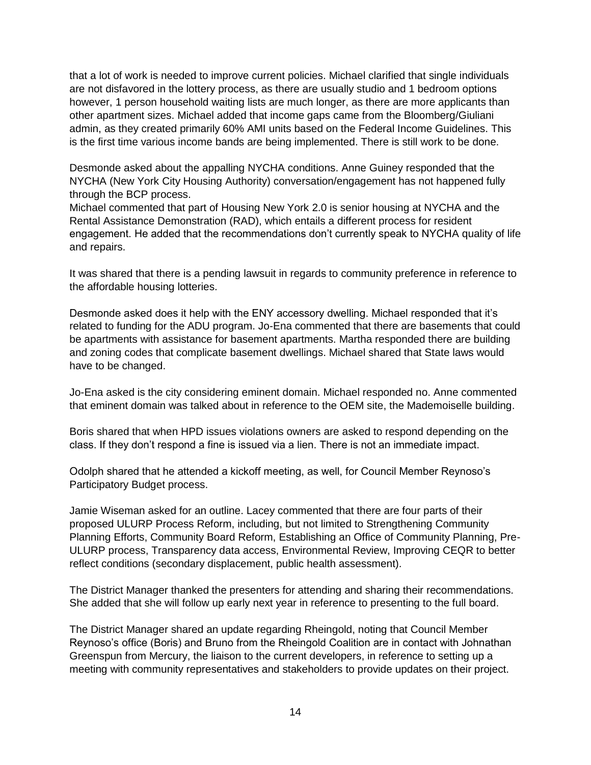that a lot of work is needed to improve current policies. Michael clarified that single individuals are not disfavored in the lottery process, as there are usually studio and 1 bedroom options however, 1 person household waiting lists are much longer, as there are more applicants than other apartment sizes. Michael added that income gaps came from the Bloomberg/Giuliani admin, as they created primarily 60% AMI units based on the Federal Income Guidelines. This is the first time various income bands are being implemented. There is still work to be done.

Desmonde asked about the appalling NYCHA conditions. Anne Guiney responded that the NYCHA (New York City Housing Authority) conversation/engagement has not happened fully through the BCP process.

Michael commented that part of Housing New York 2.0 is senior housing at NYCHA and the Rental Assistance Demonstration (RAD), which entails a different process for resident engagement. He added that the recommendations don't currently speak to NYCHA quality of life and repairs.

It was shared that there is a pending lawsuit in regards to community preference in reference to the affordable housing lotteries.

Desmonde asked does it help with the ENY accessory dwelling. Michael responded that it's related to funding for the ADU program. Jo-Ena commented that there are basements that could be apartments with assistance for basement apartments. Martha responded there are building and zoning codes that complicate basement dwellings. Michael shared that State laws would have to be changed.

Jo-Ena asked is the city considering eminent domain. Michael responded no. Anne commented that eminent domain was talked about in reference to the OEM site, the Mademoiselle building.

Boris shared that when HPD issues violations owners are asked to respond depending on the class. If they don't respond a fine is issued via a lien. There is not an immediate impact.

Odolph shared that he attended a kickoff meeting, as well, for Council Member Reynoso's Participatory Budget process.

Jamie Wiseman asked for an outline. Lacey commented that there are four parts of their proposed ULURP Process Reform, including, but not limited to Strengthening Community Planning Efforts, Community Board Reform, Establishing an Office of Community Planning, Pre-ULURP process, Transparency data access, Environmental Review, Improving CEQR to better reflect conditions (secondary displacement, public health assessment).

The District Manager thanked the presenters for attending and sharing their recommendations. She added that she will follow up early next year in reference to presenting to the full board.

The District Manager shared an update regarding Rheingold, noting that Council Member Reynoso's office (Boris) and Bruno from the Rheingold Coalition are in contact with Johnathan Greenspun from Mercury, the liaison to the current developers, in reference to setting up a meeting with community representatives and stakeholders to provide updates on their project.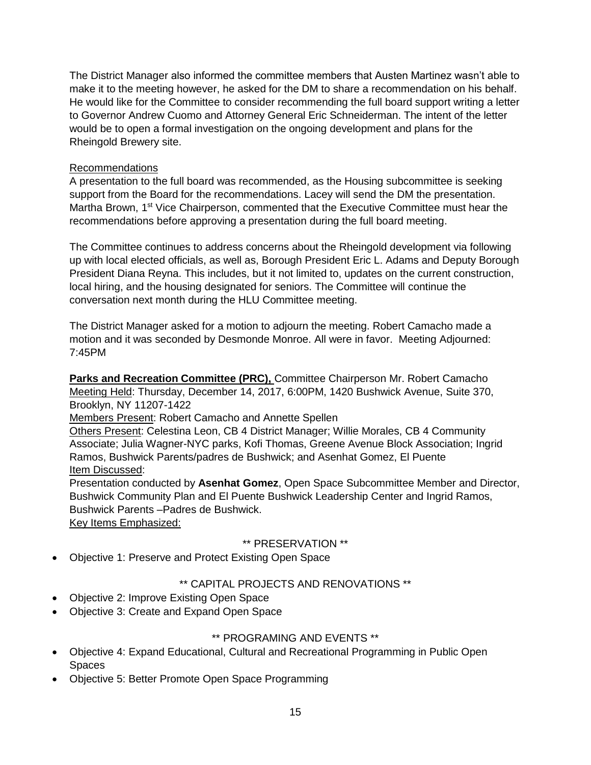The District Manager also informed the committee members that Austen Martinez wasn't able to make it to the meeting however, he asked for the DM to share a recommendation on his behalf. He would like for the Committee to consider recommending the full board support writing a letter to Governor Andrew Cuomo and Attorney General Eric Schneiderman. The intent of the letter would be to open a formal investigation on the ongoing development and plans for the Rheingold Brewery site.

# Recommendations

A presentation to the full board was recommended, as the Housing subcommittee is seeking support from the Board for the recommendations. Lacey will send the DM the presentation. Martha Brown, 1<sup>st</sup> Vice Chairperson, commented that the Executive Committee must hear the recommendations before approving a presentation during the full board meeting.

The Committee continues to address concerns about the Rheingold development via following up with local elected officials, as well as, Borough President Eric L. Adams and Deputy Borough President Diana Reyna. This includes, but it not limited to, updates on the current construction, local hiring, and the housing designated for seniors. The Committee will continue the conversation next month during the HLU Committee meeting.

The District Manager asked for a motion to adjourn the meeting. Robert Camacho made a motion and it was seconded by Desmonde Monroe. All were in favor. Meeting Adjourned: 7:45PM

**Parks and Recreation Committee (PRC),** Committee Chairperson Mr. Robert Camacho Meeting Held: Thursday, December 14, 2017, 6:00PM, 1420 Bushwick Avenue, Suite 370, Brooklyn, NY 11207-1422

## Members Present: Robert Camacho and Annette Spellen

Others Present: Celestina Leon, CB 4 District Manager; Willie Morales, CB 4 Community Associate; Julia Wagner-NYC parks, Kofi Thomas, Greene Avenue Block Association; Ingrid Ramos, Bushwick Parents/padres de Bushwick; and Asenhat Gomez, El Puente Item Discussed:

Presentation conducted by **Asenhat Gomez**, Open Space Subcommittee Member and Director, Bushwick Community Plan and El Puente Bushwick Leadership Center and Ingrid Ramos, Bushwick Parents –Padres de Bushwick. Key Items Emphasized:

## \*\* PRESERVATION \*\*

Objective 1: Preserve and Protect Existing Open Space

# \*\* CAPITAL PROJECTS AND RENOVATIONS \*\*

- Objective 2: Improve Existing Open Space
- Objective 3: Create and Expand Open Space

# \*\* PROGRAMING AND EVENTS \*\*

- Objective 4: Expand Educational, Cultural and Recreational Programming in Public Open Spaces
- Objective 5: Better Promote Open Space Programming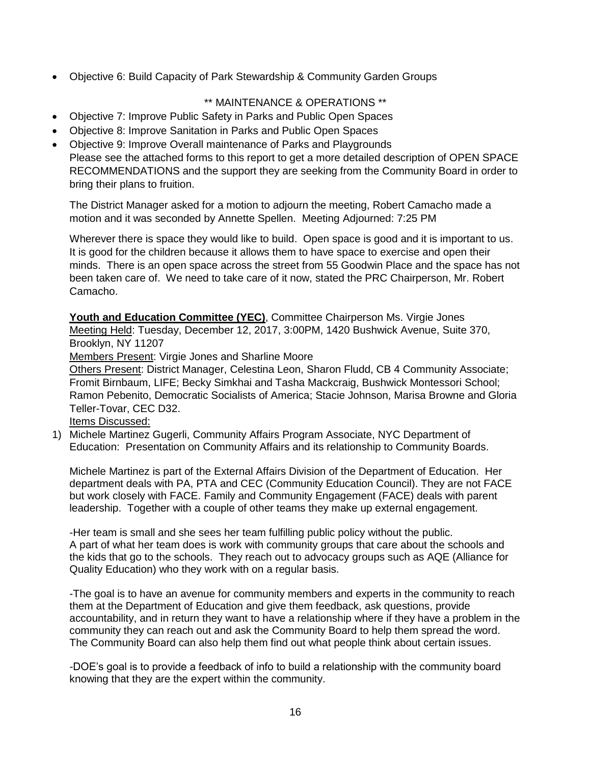Objective 6: Build Capacity of Park Stewardship & Community Garden Groups

# \*\* MAINTENANCE & OPERATIONS \*\*

- Objective 7: Improve Public Safety in Parks and Public Open Spaces
- Objective 8: Improve Sanitation in Parks and Public Open Spaces
- Objective 9: Improve Overall maintenance of Parks and Playgrounds Please see the attached forms to this report to get a more detailed description of OPEN SPACE RECOMMENDATIONS and the support they are seeking from the Community Board in order to bring their plans to fruition.

The District Manager asked for a motion to adjourn the meeting, Robert Camacho made a motion and it was seconded by Annette Spellen. Meeting Adjourned: 7:25 PM

Wherever there is space they would like to build. Open space is good and it is important to us. It is good for the children because it allows them to have space to exercise and open their minds. There is an open space across the street from 55 Goodwin Place and the space has not been taken care of. We need to take care of it now, stated the PRC Chairperson, Mr. Robert Camacho.

Youth and Education Committee (YEC), Committee Chairperson Ms. Virgie Jones Meeting Held: Tuesday, December 12, 2017, 3:00PM, 1420 Bushwick Avenue, Suite 370, Brooklyn, NY 11207

Members Present: Virgie Jones and Sharline Moore

Others Present: District Manager, Celestina Leon, Sharon Fludd, CB 4 Community Associate; Fromit Birnbaum, LIFE; Becky Simkhai and Tasha Mackcraig, Bushwick Montessori School; Ramon Pebenito, Democratic Socialists of America; Stacie Johnson, Marisa Browne and Gloria Teller-Tovar, CEC D32.

Items Discussed:

1) Michele Martinez Gugerli, Community Affairs Program Associate, NYC Department of Education: Presentation on Community Affairs and its relationship to Community Boards.

Michele Martinez is part of the External Affairs Division of the Department of Education. Her department deals with PA, PTA and CEC (Community Education Council). They are not FACE but work closely with FACE. Family and Community Engagement (FACE) deals with parent leadership. Together with a couple of other teams they make up external engagement.

-Her team is small and she sees her team fulfilling public policy without the public. A part of what her team does is work with community groups that care about the schools and the kids that go to the schools. They reach out to advocacy groups such as AQE (Alliance for Quality Education) who they work with on a regular basis.

-The goal is to have an avenue for community members and experts in the community to reach them at the Department of Education and give them feedback, ask questions, provide accountability, and in return they want to have a relationship where if they have a problem in the community they can reach out and ask the Community Board to help them spread the word. The Community Board can also help them find out what people think about certain issues.

*-*DOE's goal is to provide a feedback of info to build a relationship with the community board knowing that they are the expert within the community.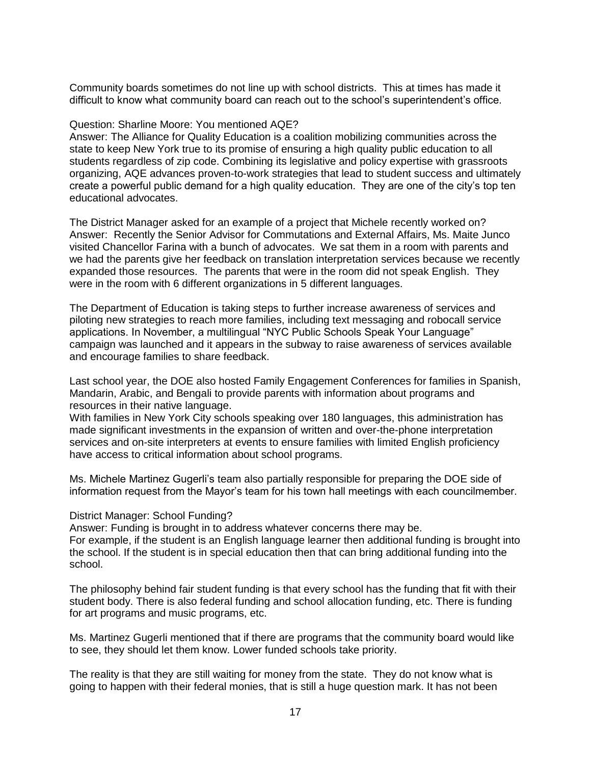Community boards sometimes do not line up with school districts. This at times has made it difficult to know what community board can reach out to the school's superintendent's office.

### Question: Sharline Moore: You mentioned AQE?

Answer: The Alliance for Quality Education is a coalition mobilizing communities across the state to keep New York true to its promise of ensuring a high quality public education to all students regardless of zip code. Combining its legislative and policy expertise with grassroots organizing, AQE advances proven-to-work strategies that lead to student success and ultimately create a powerful public demand for a high quality education. They are one of the city's top ten educational advocates.

The District Manager asked for an example of a project that Michele recently worked on? Answer: Recently the Senior Advisor for Commutations and External Affairs, Ms. Maite Junco visited Chancellor Farina with a bunch of advocates. We sat them in a room with parents and we had the parents give her feedback on translation interpretation services because we recently expanded those resources. The parents that were in the room did not speak English. They were in the room with 6 different organizations in 5 different languages.

The Department of Education is taking steps to further increase awareness of services and piloting new strategies to reach more families, including text messaging and robocall service applications. In November, a multilingual "NYC Public Schools Speak Your Language" campaign was launched and it appears in the subway to raise awareness of services available and encourage families to share feedback.

Last school year, the DOE also hosted Family Engagement Conferences for families in Spanish, Mandarin, Arabic, and Bengali to provide parents with information about programs and resources in their native language.

With families in New York City schools speaking over 180 languages, this administration has made significant investments in the expansion of written and over-the-phone interpretation services and on-site interpreters at events to ensure families with limited English proficiency have access to critical information about school programs.

Ms. Michele Martinez Gugerli's team also partially responsible for preparing the DOE side of information request from the Mayor's team for his town hall meetings with each councilmember.

#### District Manager: School Funding?

Answer: Funding is brought in to address whatever concerns there may be.

For example, if the student is an English language learner then additional funding is brought into the school. If the student is in special education then that can bring additional funding into the school.

The philosophy behind fair student funding is that every school has the funding that fit with their student body. There is also federal funding and school allocation funding, etc. There is funding for art programs and music programs, etc.

Ms. Martinez Gugerli mentioned that if there are programs that the community board would like to see, they should let them know. Lower funded schools take priority.

The reality is that they are still waiting for money from the state. They do not know what is going to happen with their federal monies, that is still a huge question mark. It has not been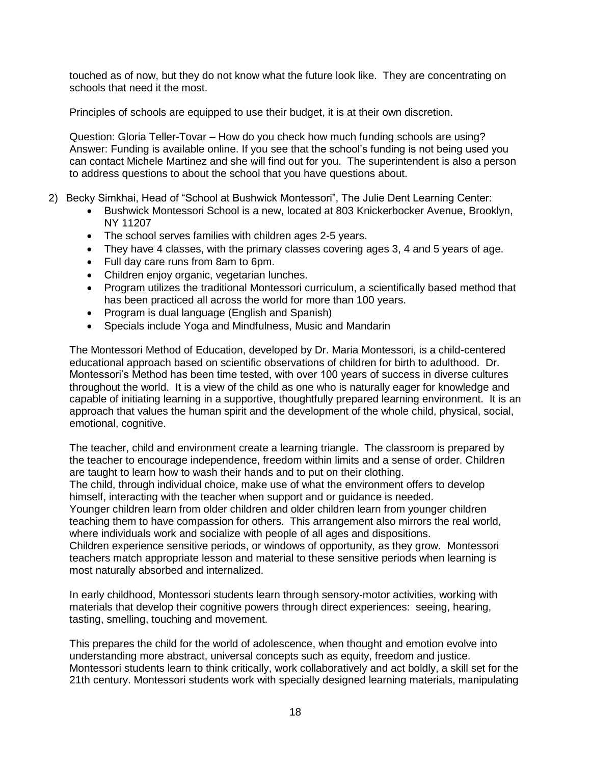touched as of now, but they do not know what the future look like. They are concentrating on schools that need it the most.

Principles of schools are equipped to use their budget, it is at their own discretion.

Question: Gloria Teller-Tovar – How do you check how much funding schools are using? Answer: Funding is available online. If you see that the school's funding is not being used you can contact Michele Martinez and she will find out for you. The superintendent is also a person to address questions to about the school that you have questions about.

- 2) Becky Simkhai, Head of "School at Bushwick Montessori", The Julie Dent Learning Center:
	- Bushwick Montessori School is a new, located at 803 Knickerbocker Avenue, Brooklyn, NY 11207
	- The school serves families with children ages 2-5 years.
	- They have 4 classes, with the primary classes covering ages 3, 4 and 5 years of age.
	- Full day care runs from 8am to 6pm.
	- Children enjoy organic, vegetarian lunches.
	- Program utilizes the traditional Montessori curriculum, a scientifically based method that has been practiced all across the world for more than 100 years.
	- Program is dual language (English and Spanish)
	- Specials include Yoga and Mindfulness, Music and Mandarin

The Montessori Method of Education, developed by Dr. Maria Montessori, is a child-centered educational approach based on scientific observations of children for birth to adulthood. Dr. Montessori's Method has been time tested, with over 100 years of success in diverse cultures throughout the world. It is a view of the child as one who is naturally eager for knowledge and capable of initiating learning in a supportive, thoughtfully prepared learning environment. It is an approach that values the human spirit and the development of the whole child, physical, social, emotional, cognitive.

The teacher, child and environment create a learning triangle. The classroom is prepared by the teacher to encourage independence, freedom within limits and a sense of order. Children are taught to learn how to wash their hands and to put on their clothing.

The child, through individual choice, make use of what the environment offers to develop himself, interacting with the teacher when support and or guidance is needed.

Younger children learn from older children and older children learn from younger children teaching them to have compassion for others. This arrangement also mirrors the real world, where individuals work and socialize with people of all ages and dispositions.

Children experience sensitive periods, or windows of opportunity, as they grow. Montessori teachers match appropriate lesson and material to these sensitive periods when learning is most naturally absorbed and internalized.

In early childhood, Montessori students learn through sensory-motor activities, working with materials that develop their cognitive powers through direct experiences: seeing, hearing, tasting, smelling, touching and movement.

This prepares the child for the world of adolescence, when thought and emotion evolve into understanding more abstract, universal concepts such as equity, freedom and justice. Montessori students learn to think critically, work collaboratively and act boldly, a skill set for the 21th century. Montessori students work with specially designed learning materials, manipulating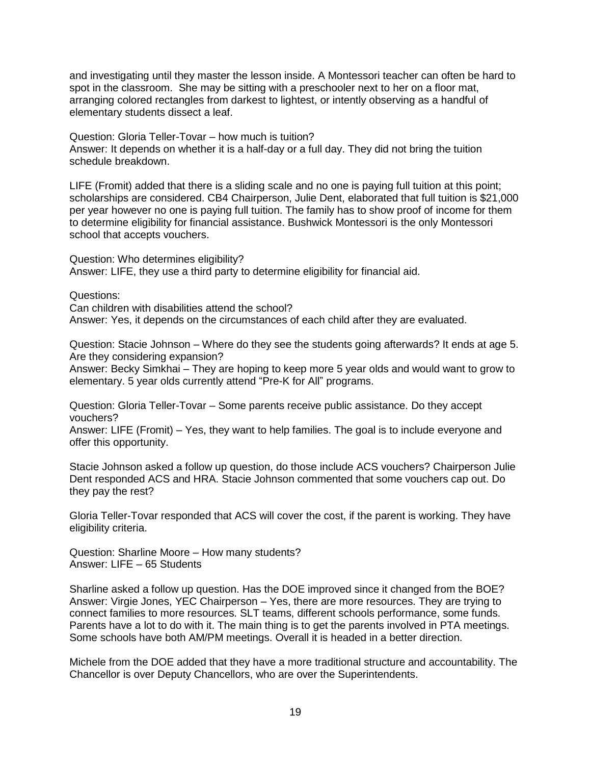and investigating until they master the lesson inside. A Montessori teacher can often be hard to spot in the classroom. She may be sitting with a preschooler next to her on a floor mat, arranging colored rectangles from darkest to lightest, or intently observing as a handful of elementary students dissect a leaf.

Question: Gloria Teller-Tovar – how much is tuition? Answer: It depends on whether it is a half-day or a full day. They did not bring the tuition schedule breakdown.

LIFE (Fromit) added that there is a sliding scale and no one is paying full tuition at this point; scholarships are considered. CB4 Chairperson, Julie Dent, elaborated that full tuition is \$21,000 per year however no one is paying full tuition. The family has to show proof of income for them to determine eligibility for financial assistance. Bushwick Montessori is the only Montessori school that accepts vouchers.

Question: Who determines eligibility? Answer: LIFE, they use a third party to determine eligibility for financial aid.

Questions:

Can children with disabilities attend the school?

Answer: Yes, it depends on the circumstances of each child after they are evaluated.

Question: Stacie Johnson – Where do they see the students going afterwards? It ends at age 5. Are they considering expansion?

Answer: Becky Simkhai – They are hoping to keep more 5 year olds and would want to grow to elementary. 5 year olds currently attend "Pre-K for All" programs.

Question: Gloria Teller-Tovar – Some parents receive public assistance. Do they accept vouchers?

Answer: LIFE (Fromit) – Yes, they want to help families. The goal is to include everyone and offer this opportunity.

Stacie Johnson asked a follow up question, do those include ACS vouchers? Chairperson Julie Dent responded ACS and HRA. Stacie Johnson commented that some vouchers cap out. Do they pay the rest?

Gloria Teller-Tovar responded that ACS will cover the cost, if the parent is working. They have eligibility criteria.

Question: Sharline Moore – How many students? Answer: LIFE – 65 Students

Sharline asked a follow up question. Has the DOE improved since it changed from the BOE? Answer: Virgie Jones, YEC Chairperson – Yes, there are more resources. They are trying to connect families to more resources. SLT teams, different schools performance, some funds. Parents have a lot to do with it. The main thing is to get the parents involved in PTA meetings. Some schools have both AM/PM meetings. Overall it is headed in a better direction.

Michele from the DOE added that they have a more traditional structure and accountability. The Chancellor is over Deputy Chancellors, who are over the Superintendents.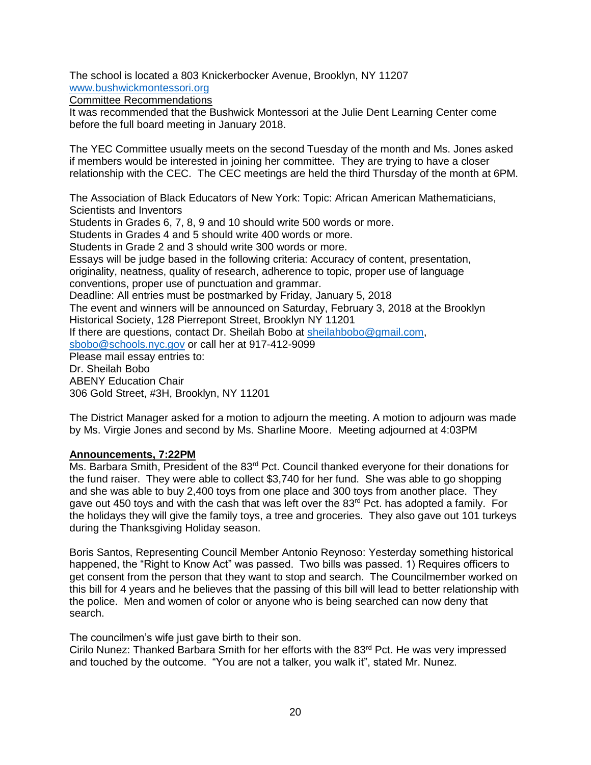The school is located a 803 Knickerbocker Avenue, Brooklyn, NY 11207 [www.bushwickmontessori.org](http://www.bushwickmontessori.org/)

Committee Recommendations

It was recommended that the Bushwick Montessori at the Julie Dent Learning Center come before the full board meeting in January 2018.

The YEC Committee usually meets on the second Tuesday of the month and Ms. Jones asked if members would be interested in joining her committee. They are trying to have a closer relationship with the CEC. The CEC meetings are held the third Thursday of the month at 6PM.

The Association of Black Educators of New York: Topic: African American Mathematicians, Scientists and Inventors Students in Grades 6, 7, 8, 9 and 10 should write 500 words or more. Students in Grades 4 and 5 should write 400 words or more. Students in Grade 2 and 3 should write 300 words or more. Essays will be judge based in the following criteria: Accuracy of content, presentation, originality, neatness, quality of research, adherence to topic, proper use of language conventions, proper use of punctuation and grammar. Deadline: All entries must be postmarked by Friday, January 5, 2018 The event and winners will be announced on Saturday, February 3, 2018 at the Brooklyn Historical Society, 128 Pierrepont Street, Brooklyn NY 11201 If there are questions, contact Dr. Sheilah Bobo at [sheilahbobo@gmail.com,](mailto:sheilahbobo@gmail.com) [sbobo@schools.nyc.gov](mailto:sbobo@schools.nyc.gov) or call her at 917-412-9099 Please mail essay entries to: Dr. Sheilah Bobo ABENY Education Chair 306 Gold Street, #3H, Brooklyn, NY 11201

The District Manager asked for a motion to adjourn the meeting. A motion to adjourn was made by Ms. Virgie Jones and second by Ms. Sharline Moore. Meeting adjourned at 4:03PM

## **Announcements, 7:22PM**

Ms. Barbara Smith, President of the 83<sup>rd</sup> Pct. Council thanked everyone for their donations for the fund raiser. They were able to collect \$3,740 for her fund. She was able to go shopping and she was able to buy 2,400 toys from one place and 300 toys from another place. They gave out 450 toys and with the cash that was left over the  $83<sup>rd</sup>$  Pct. has adopted a family. For the holidays they will give the family toys, a tree and groceries. They also gave out 101 turkeys during the Thanksgiving Holiday season.

Boris Santos, Representing Council Member Antonio Reynoso: Yesterday something historical happened, the "Right to Know Act" was passed. Two bills was passed. 1) Requires officers to get consent from the person that they want to stop and search. The Councilmember worked on this bill for 4 years and he believes that the passing of this bill will lead to better relationship with the police. Men and women of color or anyone who is being searched can now deny that search.

The councilmen's wife just gave birth to their son.

Cirilo Nunez: Thanked Barbara Smith for her efforts with the 83<sup>rd</sup> Pct. He was very impressed and touched by the outcome. "You are not a talker, you walk it", stated Mr. Nunez.